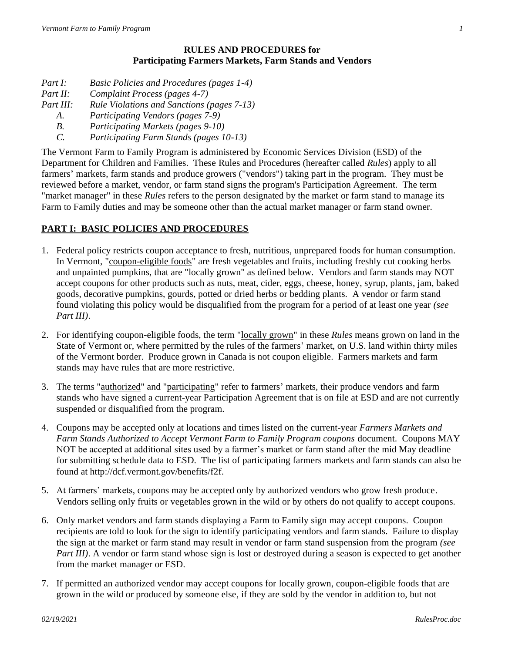#### **RULES AND PROCEDURES for Participating Farmers Markets, Farm Stands and Vendors**

- *Part I: Basic Policies and Procedures (pages 1-4)*
- *Part II: Complaint Process (pages 4-7)*
- *Part III: Rule Violations and Sanctions (pages 7-13)*
	- *A. Participating Vendors (pages 7-9)*
	- *B. Participating Markets (pages 9-10)*
	- *C. Participating Farm Stands (pages 10-13)*

The Vermont Farm to Family Program is administered by Economic Services Division (ESD) of the Department for Children and Families. These Rules and Procedures (hereafter called *Rules*) apply to all farmers' markets, farm stands and produce growers ("vendors") taking part in the program. They must be reviewed before a market, vendor, or farm stand signs the program's Participation Agreement. The term "market manager" in these *Rules* refers to the person designated by the market or farm stand to manage its Farm to Family duties and may be someone other than the actual market manager or farm stand owner.

### **PART I: BASIC POLICIES AND PROCEDURES**

- 1. Federal policy restricts coupon acceptance to fresh, nutritious, unprepared foods for human consumption. In Vermont, "coupon-eligible foods" are fresh vegetables and fruits, including freshly cut cooking herbs and unpainted pumpkins, that are "locally grown" as defined below. Vendors and farm stands may NOT accept coupons for other products such as nuts, meat, cider, eggs, cheese, honey, syrup, plants, jam, baked goods, decorative pumpkins, gourds, potted or dried herbs or bedding plants. A vendor or farm stand found violating this policy would be disqualified from the program for a period of at least one year *(see Part III)*.
- 2. For identifying coupon-eligible foods, the term "locally grown" in these *Rules* means grown on land in the State of Vermont or, where permitted by the rules of the farmers' market, on U.S. land within thirty miles of the Vermont border. Produce grown in Canada is not coupon eligible. Farmers markets and farm stands may have rules that are more restrictive.
- 3. The terms "authorized" and "participating" refer to farmers' markets, their produce vendors and farm stands who have signed a current-year Participation Agreement that is on file at ESD and are not currently suspended or disqualified from the program.
- 4. Coupons may be accepted only at locations and times listed on the current-year *Farmers Markets and Farm Stands Authorized to Accept Vermont Farm to Family Program coupons* document. Coupons MAY NOT be accepted at additional sites used by a farmer's market or farm stand after the mid May deadline for submitting schedule data to ESD. The list of participating farmers markets and farm stands can also be found at http://dcf.vermont.gov/benefits/f2f.
- 5. At farmers' markets, coupons may be accepted only by authorized vendors who grow fresh produce. Vendors selling only fruits or vegetables grown in the wild or by others do not qualify to accept coupons.
- 6. Only market vendors and farm stands displaying a Farm to Family sign may accept coupons. Coupon recipients are told to look for the sign to identify participating vendors and farm stands. Failure to display the sign at the market or farm stand may result in vendor or farm stand suspension from the program *(see Part III*). A vendor or farm stand whose sign is lost or destroyed during a season is expected to get another from the market manager or ESD.
- 7. If permitted an authorized vendor may accept coupons for locally grown, coupon-eligible foods that are grown in the wild or produced by someone else, if they are sold by the vendor in addition to, but not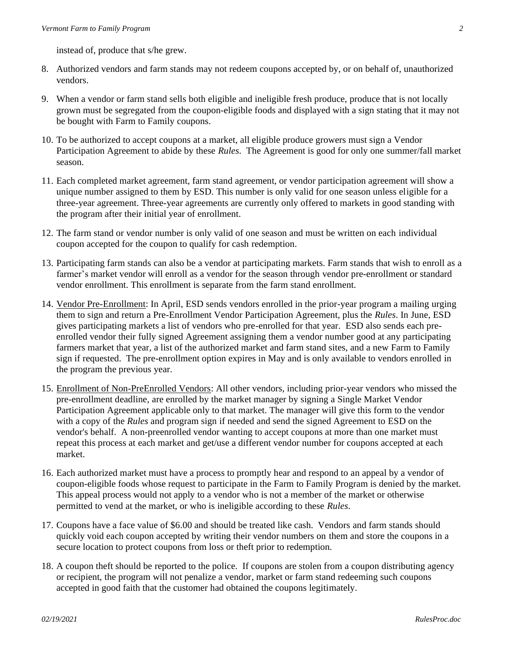instead of, produce that s/he grew.

- 8. Authorized vendors and farm stands may not redeem coupons accepted by, or on behalf of, unauthorized vendors.
- 9. When a vendor or farm stand sells both eligible and ineligible fresh produce, produce that is not locally grown must be segregated from the coupon-eligible foods and displayed with a sign stating that it may not be bought with Farm to Family coupons.
- 10. To be authorized to accept coupons at a market, all eligible produce growers must sign a Vendor Participation Agreement to abide by these *Rules*. The Agreement is good for only one summer/fall market season.
- 11. Each completed market agreement, farm stand agreement, or vendor participation agreement will show a unique number assigned to them by ESD. This number is only valid for one season unless eligible for a three-year agreement. Three-year agreements are currently only offered to markets in good standing with the program after their initial year of enrollment.
- 12. The farm stand or vendor number is only valid of one season and must be written on each individual coupon accepted for the coupon to qualify for cash redemption.
- 13. Participating farm stands can also be a vendor at participating markets. Farm stands that wish to enroll as a farmer's market vendor will enroll as a vendor for the season through vendor pre-enrollment or standard vendor enrollment. This enrollment is separate from the farm stand enrollment.
- 14. Vendor Pre-Enrollment: In April, ESD sends vendors enrolled in the prior-year program a mailing urging them to sign and return a Pre-Enrollment Vendor Participation Agreement, plus the *Rules*. In June, ESD gives participating markets a list of vendors who pre-enrolled for that year. ESD also sends each preenrolled vendor their fully signed Agreement assigning them a vendor number good at any participating farmers market that year, a list of the authorized market and farm stand sites, and a new Farm to Family sign if requested. The pre-enrollment option expires in May and is only available to vendors enrolled in the program the previous year.
- 15. Enrollment of Non-PreEnrolled Vendors: All other vendors, including prior-year vendors who missed the pre-enrollment deadline, are enrolled by the market manager by signing a Single Market Vendor Participation Agreement applicable only to that market. The manager will give this form to the vendor with a copy of the *Rules* and program sign if needed and send the signed Agreement to ESD on the vendor's behalf. A non-preenrolled vendor wanting to accept coupons at more than one market must repeat this process at each market and get/use a different vendor number for coupons accepted at each market.
- 16. Each authorized market must have a process to promptly hear and respond to an appeal by a vendor of coupon-eligible foods whose request to participate in the Farm to Family Program is denied by the market. This appeal process would not apply to a vendor who is not a member of the market or otherwise permitted to vend at the market, or who is ineligible according to these *Rules*.
- 17. Coupons have a face value of \$6.00 and should be treated like cash. Vendors and farm stands should quickly void each coupon accepted by writing their vendor numbers on them and store the coupons in a secure location to protect coupons from loss or theft prior to redemption.
- 18. A coupon theft should be reported to the police. If coupons are stolen from a coupon distributing agency or recipient, the program will not penalize a vendor, market or farm stand redeeming such coupons accepted in good faith that the customer had obtained the coupons legitimately.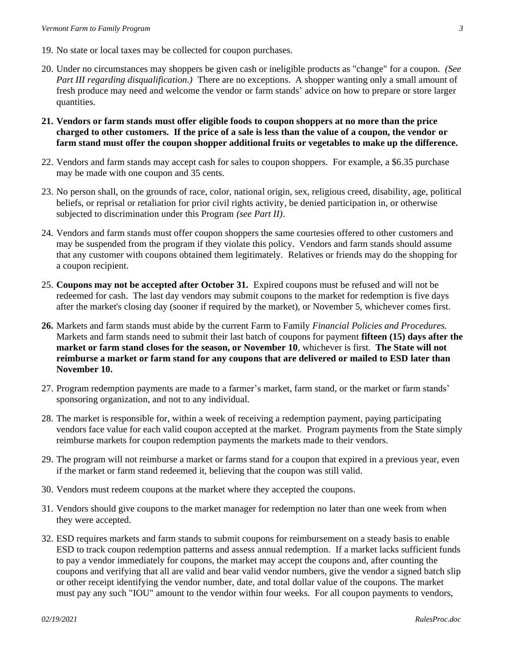- 19. No state or local taxes may be collected for coupon purchases.
- 20. Under no circumstances may shoppers be given cash or ineligible products as "change" for a coupon. *(See Part III regarding disqualification.)* There are no exceptions. A shopper wanting only a small amount of fresh produce may need and welcome the vendor or farm stands' advice on how to prepare or store larger quantities.
- **21. Vendors or farm stands must offer eligible foods to coupon shoppers at no more than the price charged to other customers. If the price of a sale is less than the value of a coupon, the vendor or farm stand must offer the coupon shopper additional fruits or vegetables to make up the difference.**
- 22. Vendors and farm stands may accept cash for sales to coupon shoppers. For example, a \$6.35 purchase may be made with one coupon and 35 cents.
- 23. No person shall, on the grounds of race, color, national origin, sex, religious creed, disability, age, political beliefs, or reprisal or retaliation for prior civil rights activity, be denied participation in, or otherwise subjected to discrimination under this Program *(see Part II)*.
- 24. Vendors and farm stands must offer coupon shoppers the same courtesies offered to other customers and may be suspended from the program if they violate this policy. Vendors and farm stands should assume that any customer with coupons obtained them legitimately. Relatives or friends may do the shopping for a coupon recipient.
- 25. **Coupons may not be accepted after October 31.** Expired coupons must be refused and will not be redeemed for cash. The last day vendors may submit coupons to the market for redemption is five days after the market's closing day (sooner if required by the market), or November 5, whichever comes first.
- **26.** Markets and farm stands must abide by the current Farm to Family *Financial Policies and Procedures.* Markets and farm stands need to submit their last batch of coupons for payment **fifteen (15) days after the market or farm stand closes for the season, or November 10**, whichever is first. **The State will not reimburse a market or farm stand for any coupons that are delivered or mailed to ESD later than November 10.**
- 27. Program redemption payments are made to a farmer's market, farm stand, or the market or farm stands' sponsoring organization, and not to any individual.
- 28. The market is responsible for, within a week of receiving a redemption payment, paying participating vendors face value for each valid coupon accepted at the market. Program payments from the State simply reimburse markets for coupon redemption payments the markets made to their vendors.
- 29. The program will not reimburse a market or farms stand for a coupon that expired in a previous year, even if the market or farm stand redeemed it, believing that the coupon was still valid.
- 30. Vendors must redeem coupons at the market where they accepted the coupons.
- 31. Vendors should give coupons to the market manager for redemption no later than one week from when they were accepted.
- 32. ESD requires markets and farm stands to submit coupons for reimbursement on a steady basis to enable ESD to track coupon redemption patterns and assess annual redemption. If a market lacks sufficient funds to pay a vendor immediately for coupons, the market may accept the coupons and, after counting the coupons and verifying that all are valid and bear valid vendor numbers, give the vendor a signed batch slip or other receipt identifying the vendor number, date, and total dollar value of the coupons. The market must pay any such "IOU" amount to the vendor within four weeks. For all coupon payments to vendors,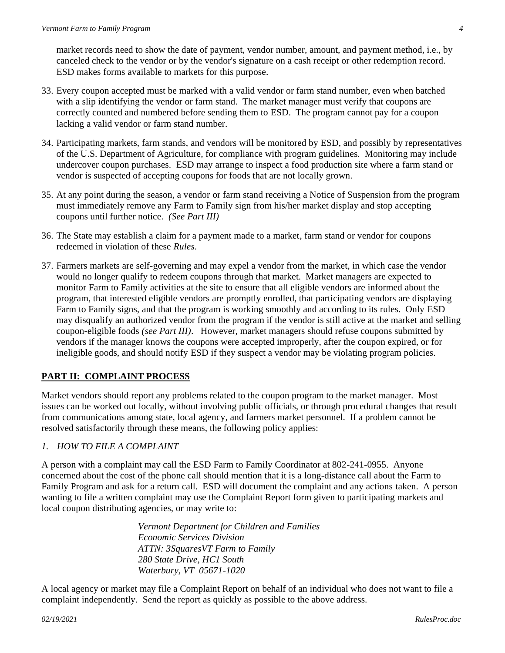market records need to show the date of payment, vendor number, amount, and payment method, i.e., by canceled check to the vendor or by the vendor's signature on a cash receipt or other redemption record. ESD makes forms available to markets for this purpose.

- 33. Every coupon accepted must be marked with a valid vendor or farm stand number, even when batched with a slip identifying the vendor or farm stand. The market manager must verify that coupons are correctly counted and numbered before sending them to ESD. The program cannot pay for a coupon lacking a valid vendor or farm stand number.
- 34. Participating markets, farm stands, and vendors will be monitored by ESD, and possibly by representatives of the U.S. Department of Agriculture, for compliance with program guidelines. Monitoring may include undercover coupon purchases. ESD may arrange to inspect a food production site where a farm stand or vendor is suspected of accepting coupons for foods that are not locally grown.
- 35. At any point during the season, a vendor or farm stand receiving a Notice of Suspension from the program must immediately remove any Farm to Family sign from his/her market display and stop accepting coupons until further notice. *(See Part III)*
- 36. The State may establish a claim for a payment made to a market, farm stand or vendor for coupons redeemed in violation of these *Rules*.
- 37. Farmers markets are self-governing and may expel a vendor from the market, in which case the vendor would no longer qualify to redeem coupons through that market. Market managers are expected to monitor Farm to Family activities at the site to ensure that all eligible vendors are informed about the program, that interested eligible vendors are promptly enrolled, that participating vendors are displaying Farm to Family signs, and that the program is working smoothly and according to its rules. Only ESD may disqualify an authorized vendor from the program if the vendor is still active at the market and selling coupon-eligible foods *(see Part III)*. However, market managers should refuse coupons submitted by vendors if the manager knows the coupons were accepted improperly, after the coupon expired, or for ineligible goods, and should notify ESD if they suspect a vendor may be violating program policies.

# **PART II: COMPLAINT PROCESS**

Market vendors should report any problems related to the coupon program to the market manager. Most issues can be worked out locally, without involving public officials, or through procedural changes that result from communications among state, local agency, and farmers market personnel. If a problem cannot be resolved satisfactorily through these means, the following policy applies:

# *1. HOW TO FILE A COMPLAINT*

A person with a complaint may call the ESD Farm to Family Coordinator at 802-241-0955. Anyone concerned about the cost of the phone call should mention that it is a long-distance call about the Farm to Family Program and ask for a return call. ESD will document the complaint and any actions taken. A person wanting to file a written complaint may use the Complaint Report form given to participating markets and local coupon distributing agencies, or may write to:

> *Vermont Department for Children and Families Economic Services Division ATTN: 3SquaresVT Farm to Family 280 State Drive, HC1 South Waterbury, VT 05671-1020*

A local agency or market may file a Complaint Report on behalf of an individual who does not want to file a complaint independently. Send the report as quickly as possible to the above address.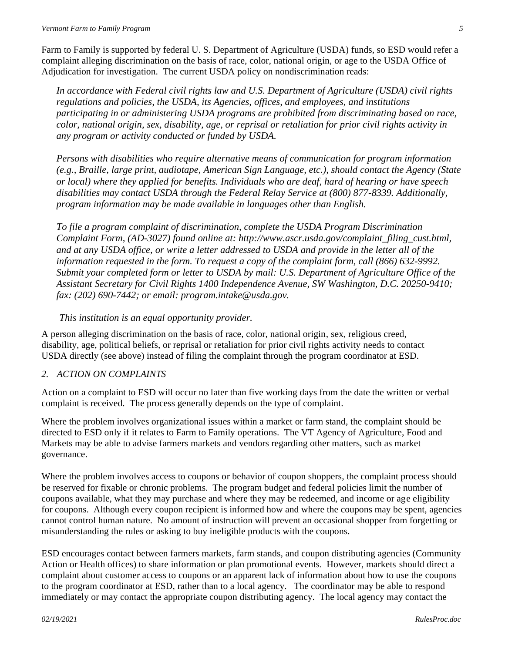Farm to Family is supported by federal U. S. Department of Agriculture (USDA) funds, so ESD would refer a complaint alleging discrimination on the basis of race, color, national origin, or age to the USDA Office of Adjudication for investigation. The current USDA policy on nondiscrimination reads:

*In accordance with Federal civil rights law and U.S. Department of Agriculture (USDA) civil rights regulations and policies, the USDA, its Agencies, offices, and employees, and institutions participating in or administering USDA programs are prohibited from discriminating based on race, color, national origin, sex, disability, age, or reprisal or retaliation for prior civil rights activity in any program or activity conducted or funded by USDA.* 

*Persons with disabilities who require alternative means of communication for program information (e.g., Braille, large print, audiotape, American Sign Language, etc.), should contact the Agency (State or local) where they applied for benefits. Individuals who are deaf, hard of hearing or have speech disabilities may contact USDA through the Federal Relay Service at (800) 877-8339. Additionally, program information may be made available in languages other than English.* 

*To file a program complaint of discrimination, complete the USDA Program Discrimination Complaint Form, (AD-3027) found online at: http://www.ascr.usda.gov/complaint\_filing\_cust.html, and at any USDA office, or write a letter addressed to USDA and provide in the letter all of the information requested in the form. To request a copy of the complaint form, call (866) 632-9992. Submit your completed form or letter to USDA by mail: U.S. Department of Agriculture Office of the Assistant Secretary for Civil Rights 1400 Independence Avenue, SW Washington, D.C. 20250-9410; fax: (202) 690-7442; or email: program.intake@usda.gov.* 

# *This institution is an equal opportunity provider.*

A person alleging discrimination on the basis of race, color, national origin, sex, religious creed, disability, age, political beliefs, or reprisal or retaliation for prior civil rights activity needs to contact USDA directly (see above) instead of filing the complaint through the program coordinator at ESD.

### *2. ACTION ON COMPLAINTS*

Action on a complaint to ESD will occur no later than five working days from the date the written or verbal complaint is received. The process generally depends on the type of complaint.

Where the problem involves organizational issues within a market or farm stand, the complaint should be directed to ESD only if it relates to Farm to Family operations. The VT Agency of Agriculture, Food and Markets may be able to advise farmers markets and vendors regarding other matters, such as market governance.

Where the problem involves access to coupons or behavior of coupon shoppers, the complaint process should be reserved for fixable or chronic problems. The program budget and federal policies limit the number of coupons available, what they may purchase and where they may be redeemed, and income or age eligibility for coupons. Although every coupon recipient is informed how and where the coupons may be spent, agencies cannot control human nature. No amount of instruction will prevent an occasional shopper from forgetting or misunderstanding the rules or asking to buy ineligible products with the coupons.

ESD encourages contact between farmers markets, farm stands, and coupon distributing agencies (Community Action or Health offices) to share information or plan promotional events. However, markets should direct a complaint about customer access to coupons or an apparent lack of information about how to use the coupons to the program coordinator at ESD, rather than to a local agency. The coordinator may be able to respond immediately or may contact the appropriate coupon distributing agency. The local agency may contact the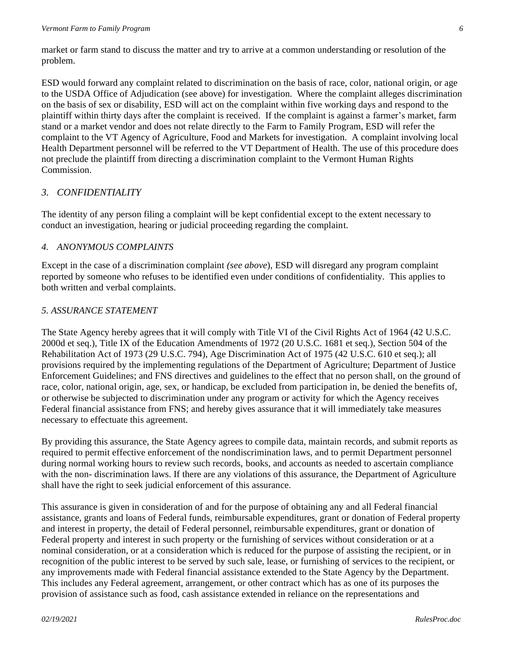market or farm stand to discuss the matter and try to arrive at a common understanding or resolution of the problem.

ESD would forward any complaint related to discrimination on the basis of race, color, national origin, or age to the USDA Office of Adjudication (see above) for investigation. Where the complaint alleges discrimination on the basis of sex or disability, ESD will act on the complaint within five working days and respond to the plaintiff within thirty days after the complaint is received. If the complaint is against a farmer's market, farm stand or a market vendor and does not relate directly to the Farm to Family Program, ESD will refer the complaint to the VT Agency of Agriculture, Food and Markets for investigation. A complaint involving local Health Department personnel will be referred to the VT Department of Health. The use of this procedure does not preclude the plaintiff from directing a discrimination complaint to the Vermont Human Rights Commission.

# *3. CONFIDENTIALITY*

The identity of any person filing a complaint will be kept confidential except to the extent necessary to conduct an investigation, hearing or judicial proceeding regarding the complaint.

# *4. ANONYMOUS COMPLAINTS*

Except in the case of a discrimination complaint *(see above*), ESD will disregard any program complaint reported by someone who refuses to be identified even under conditions of confidentiality. This applies to both written and verbal complaints.

# *5. ASSURANCE STATEMENT*

The State Agency hereby agrees that it will comply with Title VI of the Civil Rights Act of 1964 (42 U.S.C. 2000d et seq.), Title IX of the Education Amendments of 1972 (20 U.S.C. 1681 et seq.), Section 504 of the Rehabilitation Act of 1973 (29 U.S.C. 794), Age Discrimination Act of 1975 (42 U.S.C. 610 et seq.); all provisions required by the implementing regulations of the Department of Agriculture; Department of Justice Enforcement Guidelines; and FNS directives and guidelines to the effect that no person shall, on the ground of race, color, national origin, age, sex, or handicap, be excluded from participation in, be denied the benefits of, or otherwise be subjected to discrimination under any program or activity for which the Agency receives Federal financial assistance from FNS; and hereby gives assurance that it will immediately take measures necessary to effectuate this agreement.

By providing this assurance, the State Agency agrees to compile data, maintain records, and submit reports as required to permit effective enforcement of the nondiscrimination laws, and to permit Department personnel during normal working hours to review such records, books, and accounts as needed to ascertain compliance with the non- discrimination laws. If there are any violations of this assurance, the Department of Agriculture shall have the right to seek judicial enforcement of this assurance.

This assurance is given in consideration of and for the purpose of obtaining any and all Federal financial assistance, grants and loans of Federal funds, reimbursable expenditures, grant or donation of Federal property and interest in property, the detail of Federal personnel, reimbursable expenditures, grant or donation of Federal property and interest in such property or the furnishing of services without consideration or at a nominal consideration, or at a consideration which is reduced for the purpose of assisting the recipient, or in recognition of the public interest to be served by such sale, lease, or furnishing of services to the recipient, or any improvements made with Federal financial assistance extended to the State Agency by the Department. This includes any Federal agreement, arrangement, or other contract which has as one of its purposes the provision of assistance such as food, cash assistance extended in reliance on the representations and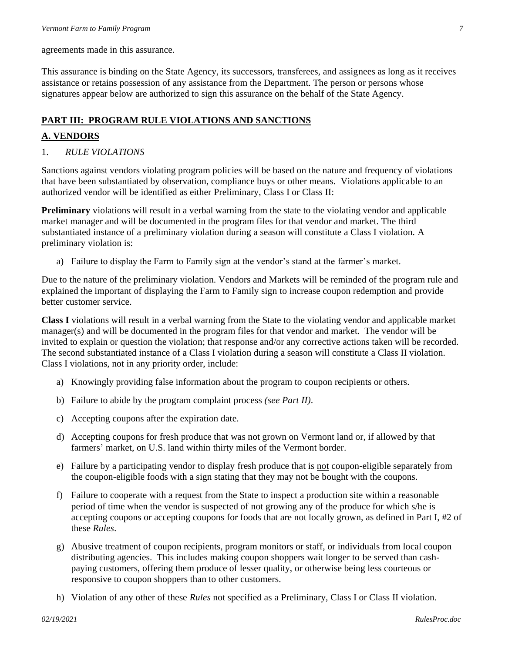agreements made in this assurance.

This assurance is binding on the State Agency, its successors, transferees, and assignees as long as it receives assistance or retains possession of any assistance from the Department. The person or persons whose signatures appear below are authorized to sign this assurance on the behalf of the State Agency.

### **PART III: PROGRAM RULE VIOLATIONS AND SANCTIONS**

### **A. VENDORS**

## 1. *RULE VIOLATIONS*

Sanctions against vendors violating program policies will be based on the nature and frequency of violations that have been substantiated by observation, compliance buys or other means. Violations applicable to an authorized vendor will be identified as either Preliminary, Class I or Class II:

**Preliminary** violations will result in a verbal warning from the state to the violating vendor and applicable market manager and will be documented in the program files for that vendor and market. The third substantiated instance of a preliminary violation during a season will constitute a Class I violation. A preliminary violation is:

a) Failure to display the Farm to Family sign at the vendor's stand at the farmer's market.

Due to the nature of the preliminary violation. Vendors and Markets will be reminded of the program rule and explained the important of displaying the Farm to Family sign to increase coupon redemption and provide better customer service.

**Class I** violations will result in a verbal warning from the State to the violating vendor and applicable market manager(s) and will be documented in the program files for that vendor and market. The vendor will be invited to explain or question the violation; that response and/or any corrective actions taken will be recorded. The second substantiated instance of a Class I violation during a season will constitute a Class II violation. Class I violations, not in any priority order, include:

- a) Knowingly providing false information about the program to coupon recipients or others.
- b) Failure to abide by the program complaint process *(see Part II)*.
- c) Accepting coupons after the expiration date.
- d) Accepting coupons for fresh produce that was not grown on Vermont land or, if allowed by that farmers' market, on U.S. land within thirty miles of the Vermont border.
- e) Failure by a participating vendor to display fresh produce that is not coupon-eligible separately from the coupon-eligible foods with a sign stating that they may not be bought with the coupons.
- f) Failure to cooperate with a request from the State to inspect a production site within a reasonable period of time when the vendor is suspected of not growing any of the produce for which s/he is accepting coupons or accepting coupons for foods that are not locally grown, as defined in Part I, #2 of these *Rules*.
- g) Abusive treatment of coupon recipients, program monitors or staff, or individuals from local coupon distributing agencies. This includes making coupon shoppers wait longer to be served than cashpaying customers, offering them produce of lesser quality, or otherwise being less courteous or responsive to coupon shoppers than to other customers.
- h) Violation of any other of these *Rules* not specified as a Preliminary, Class I or Class II violation.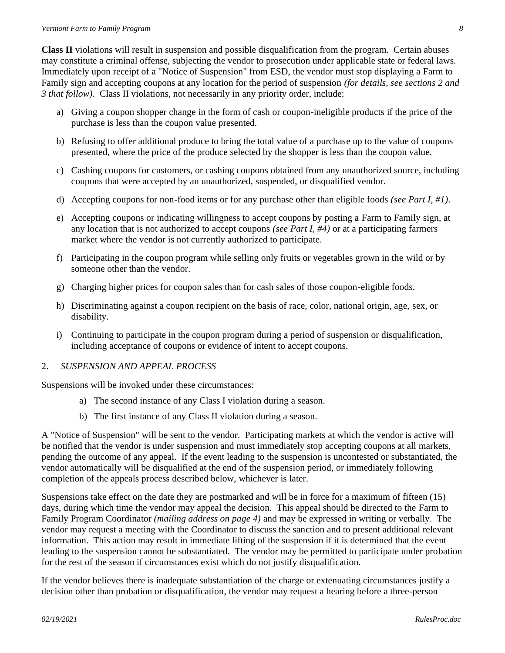**Class II** violations will result in suspension and possible disqualification from the program. Certain abuses may constitute a criminal offense, subjecting the vendor to prosecution under applicable state or federal laws. Immediately upon receipt of a "Notice of Suspension" from ESD, the vendor must stop displaying a Farm to Family sign and accepting coupons at any location for the period of suspension *(for details, see sections 2 and 3 that follow)*. Class II violations, not necessarily in any priority order, include:

- a) Giving a coupon shopper change in the form of cash or coupon-ineligible products if the price of the purchase is less than the coupon value presented.
- b) Refusing to offer additional produce to bring the total value of a purchase up to the value of coupons presented, where the price of the produce selected by the shopper is less than the coupon value.
- c) Cashing coupons for customers, or cashing coupons obtained from any unauthorized source, including coupons that were accepted by an unauthorized, suspended, or disqualified vendor.
- d) Accepting coupons for non-food items or for any purchase other than eligible foods *(see Part I, #1)*.
- e) Accepting coupons or indicating willingness to accept coupons by posting a Farm to Family sign, at any location that is not authorized to accept coupons *(see Part I, #4)* or at a participating farmers market where the vendor is not currently authorized to participate.
- f) Participating in the coupon program while selling only fruits or vegetables grown in the wild or by someone other than the vendor.
- g) Charging higher prices for coupon sales than for cash sales of those coupon-eligible foods.
- h) Discriminating against a coupon recipient on the basis of race, color, national origin, age, sex, or disability.
- i) Continuing to participate in the coupon program during a period of suspension or disqualification, including acceptance of coupons or evidence of intent to accept coupons.

### 2. *SUSPENSION AND APPEAL PROCESS*

Suspensions will be invoked under these circumstances:

- a) The second instance of any Class I violation during a season.
- b) The first instance of any Class II violation during a season.

A "Notice of Suspension" will be sent to the vendor. Participating markets at which the vendor is active will be notified that the vendor is under suspension and must immediately stop accepting coupons at all markets, pending the outcome of any appeal. If the event leading to the suspension is uncontested or substantiated, the vendor automatically will be disqualified at the end of the suspension period, or immediately following completion of the appeals process described below, whichever is later.

Suspensions take effect on the date they are postmarked and will be in force for a maximum of fifteen (15) days, during which time the vendor may appeal the decision. This appeal should be directed to the Farm to Family Program Coordinator *(mailing address on page 4)* and may be expressed in writing or verbally. The vendor may request a meeting with the Coordinator to discuss the sanction and to present additional relevant information. This action may result in immediate lifting of the suspension if it is determined that the event leading to the suspension cannot be substantiated. The vendor may be permitted to participate under probation for the rest of the season if circumstances exist which do not justify disqualification.

If the vendor believes there is inadequate substantiation of the charge or extenuating circumstances justify a decision other than probation or disqualification, the vendor may request a hearing before a three-person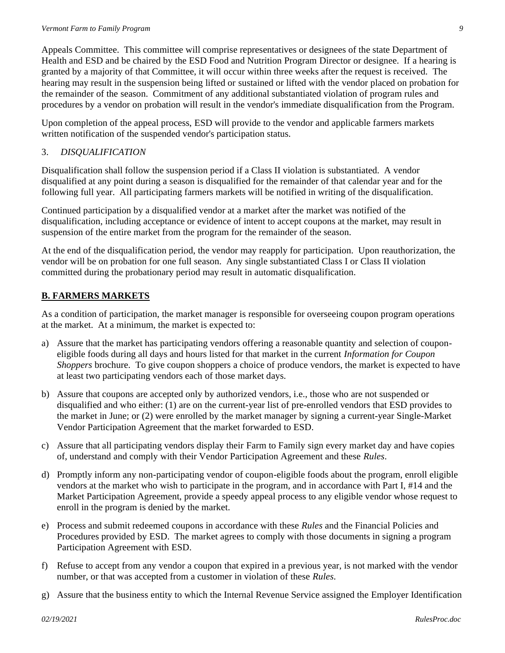Appeals Committee. This committee will comprise representatives or designees of the state Department of Health and ESD and be chaired by the ESD Food and Nutrition Program Director or designee. If a hearing is granted by a majority of that Committee, it will occur within three weeks after the request is received. The hearing may result in the suspension being lifted or sustained or lifted with the vendor placed on probation for the remainder of the season. Commitment of any additional substantiated violation of program rules and procedures by a vendor on probation will result in the vendor's immediate disqualification from the Program.

Upon completion of the appeal process, ESD will provide to the vendor and applicable farmers markets written notification of the suspended vendor's participation status.

# 3. *DISQUALIFICATION*

Disqualification shall follow the suspension period if a Class II violation is substantiated. A vendor disqualified at any point during a season is disqualified for the remainder of that calendar year and for the following full year. All participating farmers markets will be notified in writing of the disqualification.

Continued participation by a disqualified vendor at a market after the market was notified of the disqualification, including acceptance or evidence of intent to accept coupons at the market, may result in suspension of the entire market from the program for the remainder of the season.

At the end of the disqualification period, the vendor may reapply for participation. Upon reauthorization, the vendor will be on probation for one full season. Any single substantiated Class I or Class II violation committed during the probationary period may result in automatic disqualification.

# **B. FARMERS MARKETS**

As a condition of participation, the market manager is responsible for overseeing coupon program operations at the market. At a minimum, the market is expected to:

- a) Assure that the market has participating vendors offering a reasonable quantity and selection of couponeligible foods during all days and hours listed for that market in the current *Information for Coupon Shoppers* brochure. To give coupon shoppers a choice of produce vendors, the market is expected to have at least two participating vendors each of those market days.
- b) Assure that coupons are accepted only by authorized vendors, i.e., those who are not suspended or disqualified and who either: (1) are on the current-year list of pre-enrolled vendors that ESD provides to the market in June; or (2) were enrolled by the market manager by signing a current-year Single-Market Vendor Participation Agreement that the market forwarded to ESD.
- c) Assure that all participating vendors display their Farm to Family sign every market day and have copies of, understand and comply with their Vendor Participation Agreement and these *Rules*.
- d) Promptly inform any non-participating vendor of coupon-eligible foods about the program, enroll eligible vendors at the market who wish to participate in the program, and in accordance with Part I, #14 and the Market Participation Agreement, provide a speedy appeal process to any eligible vendor whose request to enroll in the program is denied by the market.
- e) Process and submit redeemed coupons in accordance with these *Rules* and the Financial Policies and Procedures provided by ESD. The market agrees to comply with those documents in signing a program Participation Agreement with ESD.
- f) Refuse to accept from any vendor a coupon that expired in a previous year, is not marked with the vendor number, or that was accepted from a customer in violation of these *Rules*.
- g) Assure that the business entity to which the Internal Revenue Service assigned the Employer Identification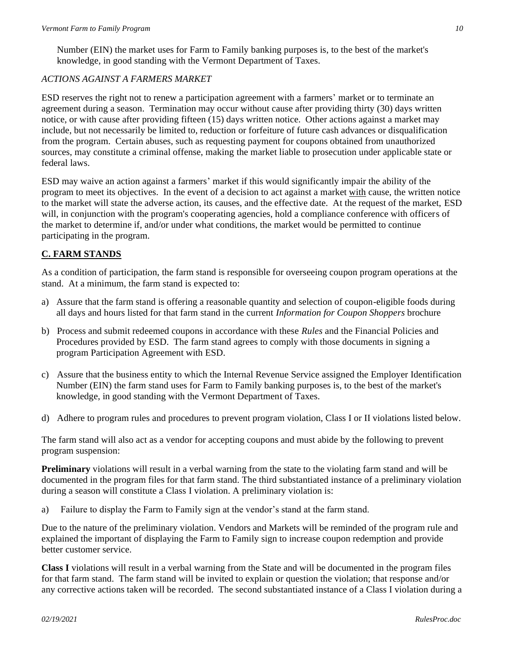Number (EIN) the market uses for Farm to Family banking purposes is, to the best of the market's knowledge, in good standing with the Vermont Department of Taxes.

## *ACTIONS AGAINST A FARMERS MARKET*

ESD reserves the right not to renew a participation agreement with a farmers' market or to terminate an agreement during a season. Termination may occur without cause after providing thirty (30) days written notice, or with cause after providing fifteen (15) days written notice. Other actions against a market may include, but not necessarily be limited to, reduction or forfeiture of future cash advances or disqualification from the program. Certain abuses, such as requesting payment for coupons obtained from unauthorized sources, may constitute a criminal offense, making the market liable to prosecution under applicable state or federal laws.

ESD may waive an action against a farmers' market if this would significantly impair the ability of the program to meet its objectives. In the event of a decision to act against a market with cause, the written notice to the market will state the adverse action, its causes, and the effective date. At the request of the market, ESD will, in conjunction with the program's cooperating agencies, hold a compliance conference with officers of the market to determine if, and/or under what conditions, the market would be permitted to continue participating in the program.

# **C. FARM STANDS**

As a condition of participation, the farm stand is responsible for overseeing coupon program operations at the stand. At a minimum, the farm stand is expected to:

- a) Assure that the farm stand is offering a reasonable quantity and selection of coupon-eligible foods during all days and hours listed for that farm stand in the current *Information for Coupon Shoppers* brochure
- b) Process and submit redeemed coupons in accordance with these *Rules* and the Financial Policies and Procedures provided by ESD. The farm stand agrees to comply with those documents in signing a program Participation Agreement with ESD.
- c) Assure that the business entity to which the Internal Revenue Service assigned the Employer Identification Number (EIN) the farm stand uses for Farm to Family banking purposes is, to the best of the market's knowledge, in good standing with the Vermont Department of Taxes.
- d) Adhere to program rules and procedures to prevent program violation, Class I or II violations listed below.

The farm stand will also act as a vendor for accepting coupons and must abide by the following to prevent program suspension:

**Preliminary** violations will result in a verbal warning from the state to the violating farm stand and will be documented in the program files for that farm stand. The third substantiated instance of a preliminary violation during a season will constitute a Class I violation. A preliminary violation is:

a) Failure to display the Farm to Family sign at the vendor's stand at the farm stand.

Due to the nature of the preliminary violation. Vendors and Markets will be reminded of the program rule and explained the important of displaying the Farm to Family sign to increase coupon redemption and provide better customer service.

**Class I** violations will result in a verbal warning from the State and will be documented in the program files for that farm stand. The farm stand will be invited to explain or question the violation; that response and/or any corrective actions taken will be recorded. The second substantiated instance of a Class I violation during a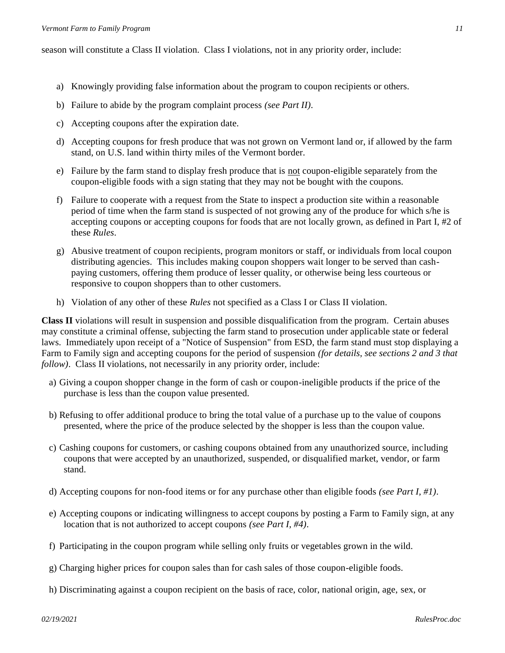season will constitute a Class II violation. Class I violations, not in any priority order, include:

- a) Knowingly providing false information about the program to coupon recipients or others.
- b) Failure to abide by the program complaint process *(see Part II)*.
- c) Accepting coupons after the expiration date.
- d) Accepting coupons for fresh produce that was not grown on Vermont land or, if allowed by the farm stand, on U.S. land within thirty miles of the Vermont border.
- e) Failure by the farm stand to display fresh produce that is not coupon-eligible separately from the coupon-eligible foods with a sign stating that they may not be bought with the coupons.
- f) Failure to cooperate with a request from the State to inspect a production site within a reasonable period of time when the farm stand is suspected of not growing any of the produce for which s/he is accepting coupons or accepting coupons for foods that are not locally grown, as defined in Part I, #2 of these *Rules*.
- g) Abusive treatment of coupon recipients, program monitors or staff, or individuals from local coupon distributing agencies. This includes making coupon shoppers wait longer to be served than cashpaying customers, offering them produce of lesser quality, or otherwise being less courteous or responsive to coupon shoppers than to other customers.
- h) Violation of any other of these *Rules* not specified as a Class I or Class II violation.

**Class II** violations will result in suspension and possible disqualification from the program. Certain abuses may constitute a criminal offense, subjecting the farm stand to prosecution under applicable state or federal laws. Immediately upon receipt of a "Notice of Suspension" from ESD, the farm stand must stop displaying a Farm to Family sign and accepting coupons for the period of suspension *(for details, see sections 2 and 3 that follow*). Class II violations, not necessarily in any priority order, include:

- a) Giving a coupon shopper change in the form of cash or coupon-ineligible products if the price of the purchase is less than the coupon value presented.
- b) Refusing to offer additional produce to bring the total value of a purchase up to the value of coupons presented, where the price of the produce selected by the shopper is less than the coupon value.
- c) Cashing coupons for customers, or cashing coupons obtained from any unauthorized source, including coupons that were accepted by an unauthorized, suspended, or disqualified market, vendor, or farm stand.
- d) Accepting coupons for non-food items or for any purchase other than eligible foods *(see Part I, #1)*.
- e) Accepting coupons or indicating willingness to accept coupons by posting a Farm to Family sign, at any location that is not authorized to accept coupons *(see Part I, #4)*.
- f) Participating in the coupon program while selling only fruits or vegetables grown in the wild.
- g) Charging higher prices for coupon sales than for cash sales of those coupon-eligible foods.
- h) Discriminating against a coupon recipient on the basis of race, color, national origin, age, sex, or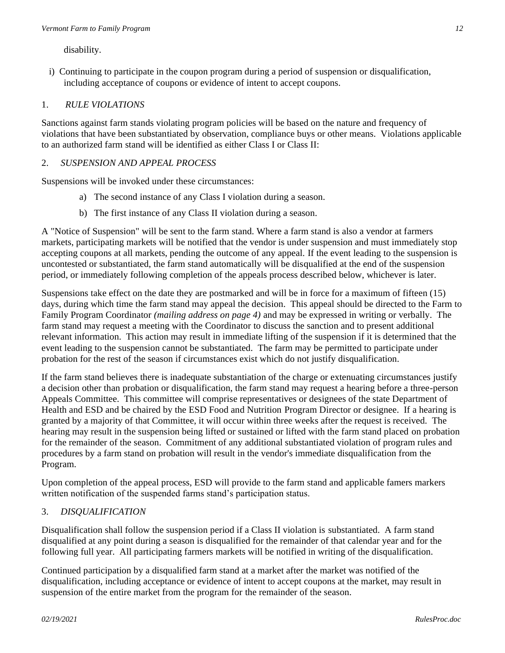disability.

i) Continuing to participate in the coupon program during a period of suspension or disqualification, including acceptance of coupons or evidence of intent to accept coupons.

## 1. *RULE VIOLATIONS*

Sanctions against farm stands violating program policies will be based on the nature and frequency of violations that have been substantiated by observation, compliance buys or other means. Violations applicable to an authorized farm stand will be identified as either Class I or Class II:

#### 2. *SUSPENSION AND APPEAL PROCESS*

Suspensions will be invoked under these circumstances:

- a) The second instance of any Class I violation during a season.
- b) The first instance of any Class II violation during a season.

A "Notice of Suspension" will be sent to the farm stand. Where a farm stand is also a vendor at farmers markets, participating markets will be notified that the vendor is under suspension and must immediately stop accepting coupons at all markets, pending the outcome of any appeal. If the event leading to the suspension is uncontested or substantiated, the farm stand automatically will be disqualified at the end of the suspension period, or immediately following completion of the appeals process described below, whichever is later.

Suspensions take effect on the date they are postmarked and will be in force for a maximum of fifteen (15) days, during which time the farm stand may appeal the decision. This appeal should be directed to the Farm to Family Program Coordinator *(mailing address on page 4)* and may be expressed in writing or verbally. The farm stand may request a meeting with the Coordinator to discuss the sanction and to present additional relevant information. This action may result in immediate lifting of the suspension if it is determined that the event leading to the suspension cannot be substantiated. The farm may be permitted to participate under probation for the rest of the season if circumstances exist which do not justify disqualification.

If the farm stand believes there is inadequate substantiation of the charge or extenuating circumstances justify a decision other than probation or disqualification, the farm stand may request a hearing before a three-person Appeals Committee. This committee will comprise representatives or designees of the state Department of Health and ESD and be chaired by the ESD Food and Nutrition Program Director or designee. If a hearing is granted by a majority of that Committee, it will occur within three weeks after the request is received. The hearing may result in the suspension being lifted or sustained or lifted with the farm stand placed on probation for the remainder of the season. Commitment of any additional substantiated violation of program rules and procedures by a farm stand on probation will result in the vendor's immediate disqualification from the Program.

Upon completion of the appeal process, ESD will provide to the farm stand and applicable famers markers written notification of the suspended farms stand's participation status.

### 3. *DISQUALIFICATION*

Disqualification shall follow the suspension period if a Class II violation is substantiated. A farm stand disqualified at any point during a season is disqualified for the remainder of that calendar year and for the following full year. All participating farmers markets will be notified in writing of the disqualification.

Continued participation by a disqualified farm stand at a market after the market was notified of the disqualification, including acceptance or evidence of intent to accept coupons at the market, may result in suspension of the entire market from the program for the remainder of the season.